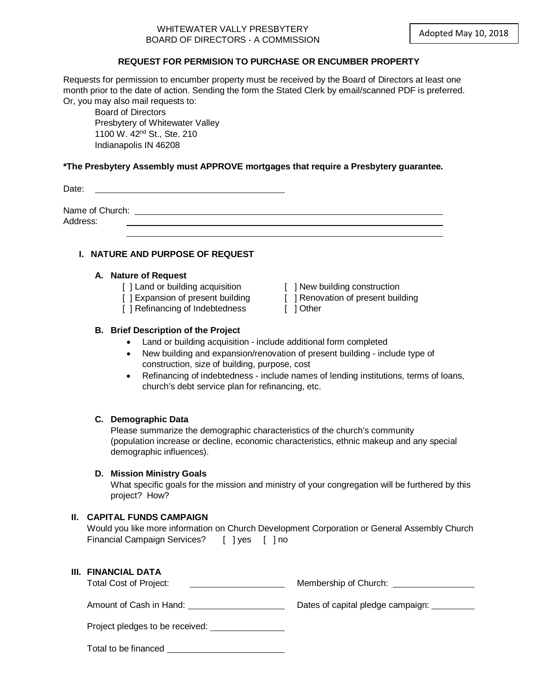## WHITEWATER VALLY PRESBYTERY BOARD OF DIRECTORS - A COMMISSION

## **REQUEST FOR PERMISION TO PURCHASE OR ENCUMBER PROPERTY**

Requests for permission to encumber property must be received by the Board of Directors at least one month prior to the date of action. Sending the form the Stated Clerk by email/scanned PDF is preferred. Or, you may also mail requests to:

Board of Directors Presbytery of Whitewater Valley 1100 W. 42nd St., Ste. 210 Indianapolis IN 46208

#### **\*The Presbytery Assembly must APPROVE mortgages that require a Presbytery guarantee.**

Date:

Name of Church:  $\blacksquare$ Address:

# **I. NATURE AND PURPOSE OF REQUEST**

#### **A. Nature of Request**

- [ ] Land or building acquisition [ ] New building construction
- 
- [ ] Refinancing of Indebtedness [ ] Other
- 
- [ ] Expansion of present building [ ] Renovation of present building
	-

# **B. Brief Description of the Project**

- Land or building acquisition include additional form completed
- New building and expansion/renovation of present building include type of construction, size of building, purpose, cost
- Refinancing of indebtedness include names of lending institutions, terms of loans, church's debt service plan for refinancing, etc.

#### **C. Demographic Data**

Please summarize the demographic characteristics of the church's community (population increase or decline, economic characteristics, ethnic makeup and any special demographic influences).

#### **D. Mission Ministry Goals**

What specific goals for the mission and ministry of your congregation will be furthered by this project? How?

#### **II. CAPITAL FUNDS CAMPAIGN**

|                                             |  | Would you like more information on Church Development Corporation or General Assembly Church |
|---------------------------------------------|--|----------------------------------------------------------------------------------------------|
| Financial Campaign Services? [ ] yes [ ] no |  |                                                                                              |

| III. FINANCIAL DATA |  |
|---------------------|--|
|---------------------|--|

| .                             |                       |
|-------------------------------|-----------------------|
| <b>Total Cost of Project:</b> | Membership of Church: |

Amount of Cash in Hand: Nature 2012 Cash in Hand: Dates of capital pledge campaign:

Project pledges to be received:

Total to be financed